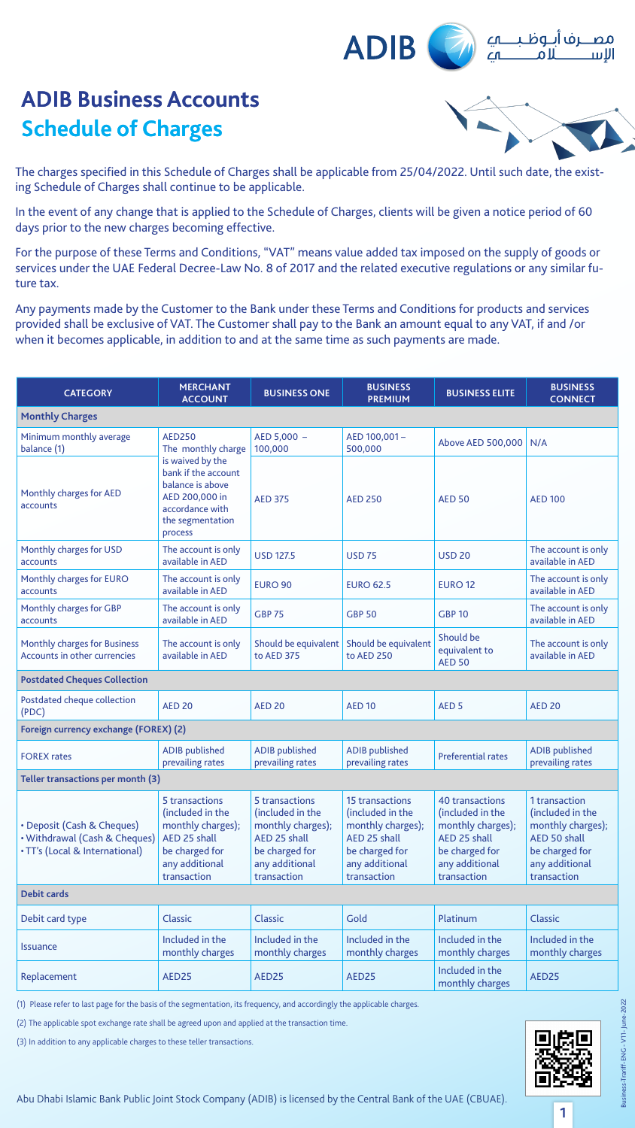

The charges specified in this Schedule of Charges shall be applicable from 25/04/2022. Until such date, the exist-<br>ing Schedule of Charges shall continue to be applicable.

In the event of any change that is applied to the Schedule of Charges, clients will be given a notice period of 60 days prior to the new charges becoming effective.

For the purpose of these Terms and Conditions, "VAT" means value added tax imposed on the supply of goods or services under the UAE Federal Decree-Law No. 8 of 2017 and the related executive regulations or any similar fu-<br>ture tax.

Any payments made by the Customer to the Bank under these Terms and Conditions for products and services provided shall be exclusive of VAT. The Customer shall pay to the Bank an amount equal to any VAT, if and /or when it becomes applicable, in addition to and at the same time as such payments are made.

**1**

#### Abu Dhabi Islamic Bank Public Joint Stock Company (ADIB) is licensed by the Central Bank of the UAE (CBUAE).

| <b>CATEGORY</b>                                                                               | <b>MERCHANT</b><br><b>ACCOUNT</b>                                                                                               | <b>BUSINESS ONE</b>                                                                                                        | <b>BUSINESS</b><br><b>PREMIUM</b>                                                                                                  | <b>BUSINESS ELITE</b>                                                                                                       | <b>BUSINESS</b><br><b>CONNECT</b>                                                                                         |
|-----------------------------------------------------------------------------------------------|---------------------------------------------------------------------------------------------------------------------------------|----------------------------------------------------------------------------------------------------------------------------|------------------------------------------------------------------------------------------------------------------------------------|-----------------------------------------------------------------------------------------------------------------------------|---------------------------------------------------------------------------------------------------------------------------|
| <b>Monthly Charges</b>                                                                        |                                                                                                                                 |                                                                                                                            |                                                                                                                                    |                                                                                                                             |                                                                                                                           |
| Minimum monthly average<br>balance (1)                                                        | <b>AED250</b><br>The monthly charge                                                                                             | $AED 5,000 -$<br>100,000                                                                                                   | AED 100,001-<br>500,000                                                                                                            | Above AED 500,000                                                                                                           | N/A                                                                                                                       |
| Monthly charges for AED<br>accounts                                                           | is waived by the<br>bank if the account<br>balance is above<br>AED 200,000 in<br>accordance with<br>the segmentation<br>process | <b>AED 375</b>                                                                                                             | <b>AED 250</b>                                                                                                                     | <b>AED 50</b>                                                                                                               | <b>AED 100</b>                                                                                                            |
| Monthly charges for USD<br>accounts                                                           | The account is only<br>available in AED                                                                                         | <b>USD 127.5</b>                                                                                                           | <b>USD 75</b>                                                                                                                      | <b>USD 20</b>                                                                                                               | The account is only<br>available in AED                                                                                   |
| Monthly charges for EURO<br>accounts                                                          | The account is only<br>available in AED                                                                                         | <b>EURO 90</b>                                                                                                             | <b>EURO 62.5</b>                                                                                                                   | <b>EURO 12</b>                                                                                                              | The account is only<br>available in AED                                                                                   |
| Monthly charges for GBP<br>accounts                                                           | The account is only<br>available in AED                                                                                         | <b>GBP 75</b>                                                                                                              | <b>GBP 50</b>                                                                                                                      | <b>GBP 10</b>                                                                                                               | The account is only<br>available in AED                                                                                   |
| <b>Monthly charges for Business</b><br>Accounts in other currencies                           | The account is only<br>available in AED                                                                                         | Should be equivalent<br>to AED 375                                                                                         | Should be equivalent<br>to AED 250                                                                                                 | Should be<br>equivalent to<br><b>AED 50</b>                                                                                 | The account is only<br>available in AED                                                                                   |
| <b>Postdated Cheques Collection</b>                                                           |                                                                                                                                 |                                                                                                                            |                                                                                                                                    |                                                                                                                             |                                                                                                                           |
| Postdated cheque collection<br>(PDC)                                                          | <b>AED 20</b>                                                                                                                   | <b>AED 20</b>                                                                                                              | <b>AED 10</b>                                                                                                                      | AED <sub>5</sub>                                                                                                            | <b>AED 20</b>                                                                                                             |
| Foreign currency exchange (FOREX) (2)                                                         |                                                                                                                                 |                                                                                                                            |                                                                                                                                    |                                                                                                                             |                                                                                                                           |
| <b>FOREX rates</b>                                                                            | <b>ADIB</b> published<br>prevailing rates                                                                                       | <b>ADIB</b> published<br>prevailing rates                                                                                  | <b>ADIB</b> published<br>prevailing rates                                                                                          | <b>Preferential rates</b>                                                                                                   | <b>ADIB</b> published<br>prevailing rates                                                                                 |
| Teller transactions per month (3)                                                             |                                                                                                                                 |                                                                                                                            |                                                                                                                                    |                                                                                                                             |                                                                                                                           |
| • Deposit (Cash & Cheques)<br>• Withdrawal (Cash & Cheques)<br>. TT's (Local & International) | 5 transactions<br>(included in the<br>monthly charges);<br>AED 25 shall<br>be charged for<br>any additional<br>transaction      | 5 transactions<br>(included in the<br>monthly charges);<br>AED 25 shall<br>be charged for<br>any additional<br>transaction | <b>15 transactions</b><br>(included in the<br>monthly charges);<br>AED 25 shall<br>be charged for<br>any additional<br>transaction | 40 transactions<br>(included in the<br>monthly charges);<br>AED 25 shall<br>be charged for<br>any additional<br>transaction | 1 transaction<br>(included in the<br>monthly charges);<br>AED 50 shall<br>be charged for<br>any additional<br>transaction |
| <b>Debit cards</b>                                                                            |                                                                                                                                 |                                                                                                                            |                                                                                                                                    |                                                                                                                             |                                                                                                                           |
| Debit card type                                                                               | <b>Classic</b>                                                                                                                  | <b>Classic</b>                                                                                                             | Gold                                                                                                                               | Platinum                                                                                                                    | <b>Classic</b>                                                                                                            |
| <i><u><b>Issuance</b></u></i>                                                                 | Included in the<br>monthly charges                                                                                              | Included in the<br>monthly charges                                                                                         | Included in the<br>monthly charges                                                                                                 | Included in the<br>monthly charges                                                                                          | Included in the<br>monthly charges                                                                                        |
| Replacement                                                                                   | AED25                                                                                                                           | AED25                                                                                                                      | AED25                                                                                                                              | Included in the<br>monthly charges                                                                                          | AED25                                                                                                                     |

(1) Please refer to last page for the basis of the segmentation, its frequency, and accordingly the applicable charges.

(2) The applicable spot exchange rate shall be agreed upon and applied at the transaction time.

(3) In addition to any applicable charges to these teller transactions.

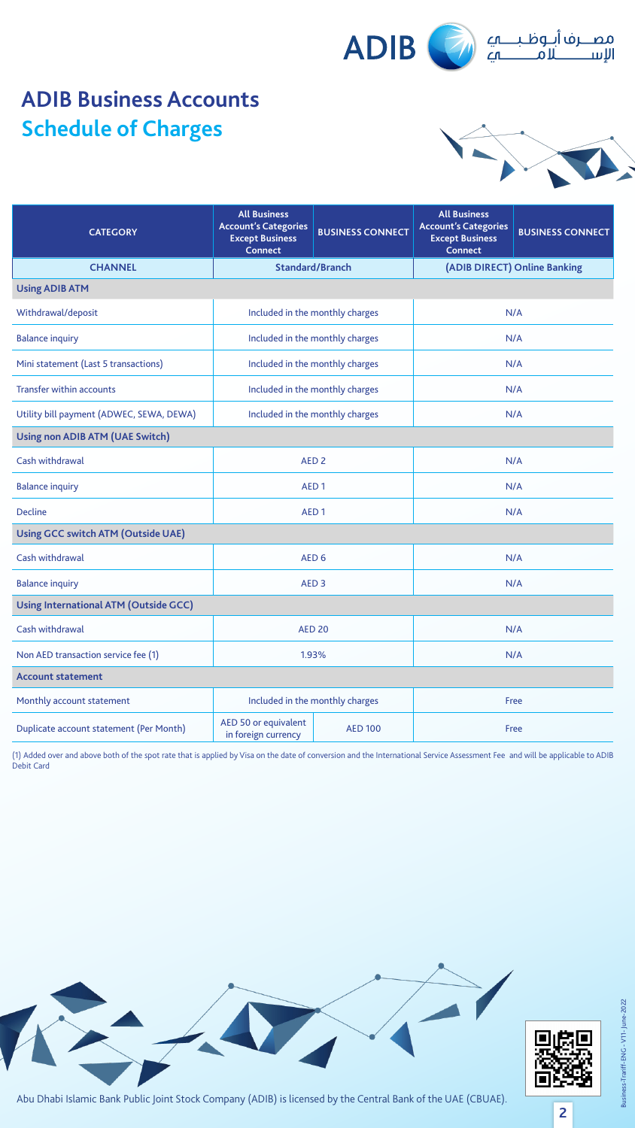



**2**

### Abu Dhabi Islamic Bank Public Joint Stock Company (ADIB) is licensed by the Central Bank of the UAE (CBUAE).

| <b>CATEGORY</b>                          | <b>All Business</b><br><b>Account's Categories</b><br><b>BUSINESS CONNECT</b><br><b>Except Business</b><br><b>Connect</b> | <b>All Business</b><br><b>Account's Categories</b><br><b>BUSINESS CONNECT</b><br><b>Except Business</b><br><b>Connect</b> |  |
|------------------------------------------|---------------------------------------------------------------------------------------------------------------------------|---------------------------------------------------------------------------------------------------------------------------|--|
| <b>CHANNEL</b>                           | <b>Standard/Branch</b>                                                                                                    | (ADIB DIRECT) Online Banking                                                                                              |  |
| <b>Using ADIB ATM</b>                    |                                                                                                                           |                                                                                                                           |  |
| Withdrawal/deposit                       | Included in the monthly charges                                                                                           | N/A                                                                                                                       |  |
| <b>Balance inquiry</b>                   | Included in the monthly charges                                                                                           | N/A                                                                                                                       |  |
| Mini statement (Last 5 transactions)     | Included in the monthly charges                                                                                           | N/A                                                                                                                       |  |
| <b>Transfer within accounts</b>          | Included in the monthly charges                                                                                           | N/A                                                                                                                       |  |
| Utility bill payment (ADWEC, SEWA, DEWA) | Included in the monthly charges                                                                                           | N/A                                                                                                                       |  |
| Using non ADIB ATM (UAE Switch)          |                                                                                                                           |                                                                                                                           |  |
| Cash withdrawal                          | AED <sub>2</sub>                                                                                                          | N/A                                                                                                                       |  |
| <b>Balance inquiry</b>                   | AED <sub>1</sub>                                                                                                          | N/A                                                                                                                       |  |
| <b>Decline</b>                           | AED <sub>1</sub>                                                                                                          | N/A                                                                                                                       |  |

#### **Using GCC switch ATM (Outside UAE)**

| Cash withdrawal                         | AED <sub>6</sub>                            |                | N/A  |  |
|-----------------------------------------|---------------------------------------------|----------------|------|--|
| <b>Balance inquiry</b>                  | AED <sub>3</sub>                            |                | N/A  |  |
| Using International ATM (Outside GCC)   |                                             |                |      |  |
| Cash withdrawal                         | <b>AED 20</b>                               |                | N/A  |  |
| Non AED transaction service fee (1)     | 1.93%                                       |                | N/A  |  |
| <b>Account statement</b>                |                                             |                |      |  |
| Monthly account statement               | Included in the monthly charges             |                | Free |  |
| Duplicate account statement (Per Month) | AED 50 or equivalent<br>in foreign currency | <b>AED 100</b> | Free |  |

(1) Added over and above both of the spot rate that is applied by Visa on the date of conversion and the International Service Assessment Fee and will be applicable to ADIB Debit Card



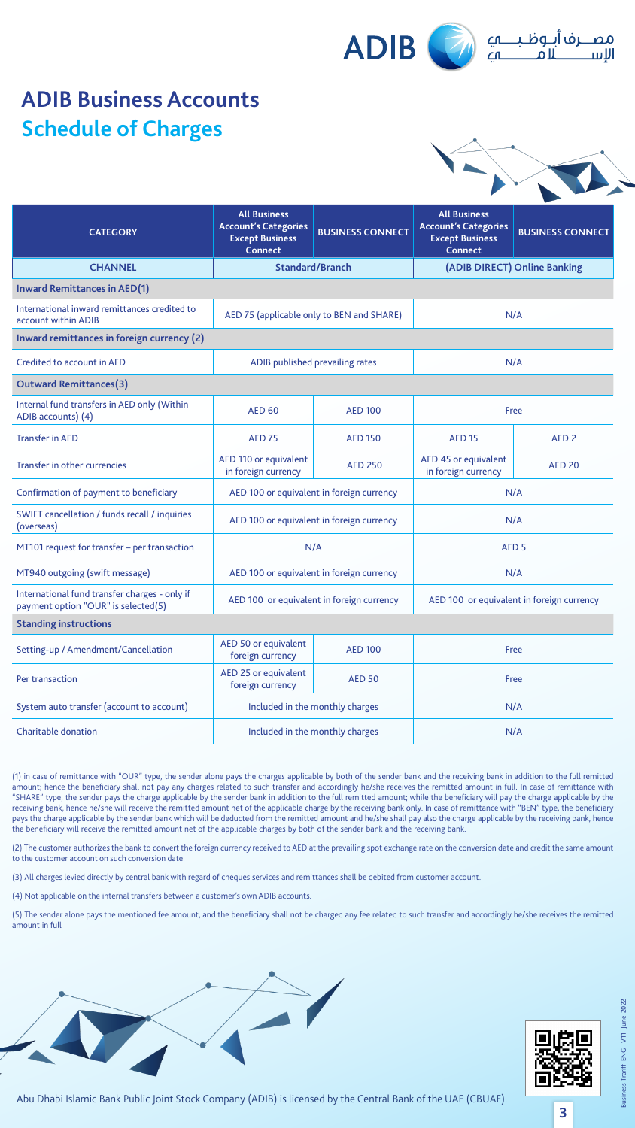



**3**

#### Abu Dhabi Islamic Bank Public Joint Stock Company (ADIB) is licensed by the Central Bank of the UAE (CBUAE).

| <b>CATEGORY</b>                                                                      | <b>All Business</b><br><b>Account's Categories</b><br><b>Except Business</b><br><b>Connect</b> | <b>BUSINESS CONNECT</b>                   | <b>All Business</b><br><b>Account's Categories</b><br><b>Except Business</b><br><b>Connect</b> | <b>BUSINESS CONNECT</b>      |
|--------------------------------------------------------------------------------------|------------------------------------------------------------------------------------------------|-------------------------------------------|------------------------------------------------------------------------------------------------|------------------------------|
| <b>CHANNEL</b>                                                                       |                                                                                                | <b>Standard/Branch</b>                    |                                                                                                | (ADIB DIRECT) Online Banking |
| <b>Inward Remittances in AED(1)</b>                                                  |                                                                                                |                                           |                                                                                                |                              |
| International inward remittances credited to<br>account within ADIB                  |                                                                                                | AED 75 (applicable only to BEN and SHARE) | N/A                                                                                            |                              |
| Inward remittances in foreign currency (2)                                           |                                                                                                |                                           |                                                                                                |                              |
| Credited to account in AED                                                           |                                                                                                | ADIB published prevailing rates           |                                                                                                | N/A                          |
| <b>Outward Remittances(3)</b>                                                        |                                                                                                |                                           |                                                                                                |                              |
| Internal fund transfers in AED only (Within<br>ADIB accounts) (4)                    | <b>AED 60</b><br><b>AED 100</b>                                                                |                                           | <b>Free</b>                                                                                    |                              |
| <b>Transfer in AED</b>                                                               | <b>AED 75</b>                                                                                  | <b>AED 150</b>                            | <b>AED 15</b>                                                                                  | AED <sub>2</sub>             |
| Transfer in other currencies                                                         | AED 110 or equivalent<br>in foreign currency                                                   | <b>AED 250</b>                            | AED 45 or equivalent<br>in foreign currency                                                    | <b>AED 20</b>                |
| Confirmation of payment to beneficiary                                               | AED 100 or equivalent in foreign currency                                                      |                                           | N/A                                                                                            |                              |
| SWIFT cancellation / funds recall / inquiries<br>(overseas)                          | AED 100 or equivalent in foreign currency                                                      |                                           | N/A                                                                                            |                              |
| MT101 request for transfer – per transaction                                         | N/A                                                                                            |                                           | AED <sub>5</sub>                                                                               |                              |
| MT940 outgoing (swift message)                                                       |                                                                                                | AED 100 or equivalent in foreign currency | N/A                                                                                            |                              |
| International fund transfer charges - only if<br>payment option "OUR" is selected(5) | AED 100 or equivalent in foreign currency                                                      |                                           | AED 100 or equivalent in foreign currency                                                      |                              |
| <b>Standing instructions</b>                                                         |                                                                                                |                                           |                                                                                                |                              |
| Setting-up / Amendment/Cancellation                                                  | AED 50 or equivalent<br><b>AED 100</b><br>foreign currency                                     |                                           | Free                                                                                           |                              |
| Per transaction                                                                      | AED 25 or equivalent<br><b>AED 50</b><br>foreign currency                                      |                                           | Free                                                                                           |                              |
| System auto transfer (account to account)                                            | Included in the monthly charges                                                                |                                           | N/A                                                                                            |                              |
| <b>Charitable donation</b>                                                           | Included in the monthly charges                                                                |                                           | N/A                                                                                            |                              |

(1) in case of remittance with "OUR" type, the sender alone pays the charges applicable by both of the sender bank and the receiving bank in addition to the full remitted amount; hence the beneficiary shall not pay any charges related to such transfer and accordingly he/she receives the remitted amount in full. In case of remittance with "SHARE" type, the sender pays the charge applicable by the sender bank in addition to the full remitted amount; while the beneficiary will pay the charge applicable by the receiving bank, hence he/she will receive the remitted amount net of the applicable charge by the receiving bank only. In case of remittance with "BEN" type, the beneficiary pays the charge applicable by the sender bank which will be deducted from the remitted amount and he/she shall pay also the charge applicable by the receiving bank, hence the beneficiary will receive the remitted amount net of the applicable charges by both of the sender bank and the receiving bank.

(2) The customer authorizes the bank to convert the foreign currency received to AED at the prevailing spot exchange rate on the conversion date and credit the same amount to the customer account on such conversion date.

(3) All charges levied directly by central bank with regard of cheques services and remittances shall be debited from customer account.

 $(4)$  Not applicable on the internal transfers between a customer's own ADIB accounts.

(5) The sender alone pays the mentioned fee amount, and the beneficiary shall not be charged any fee related to such transfer and accordingly he/she receives the remitted amount in full



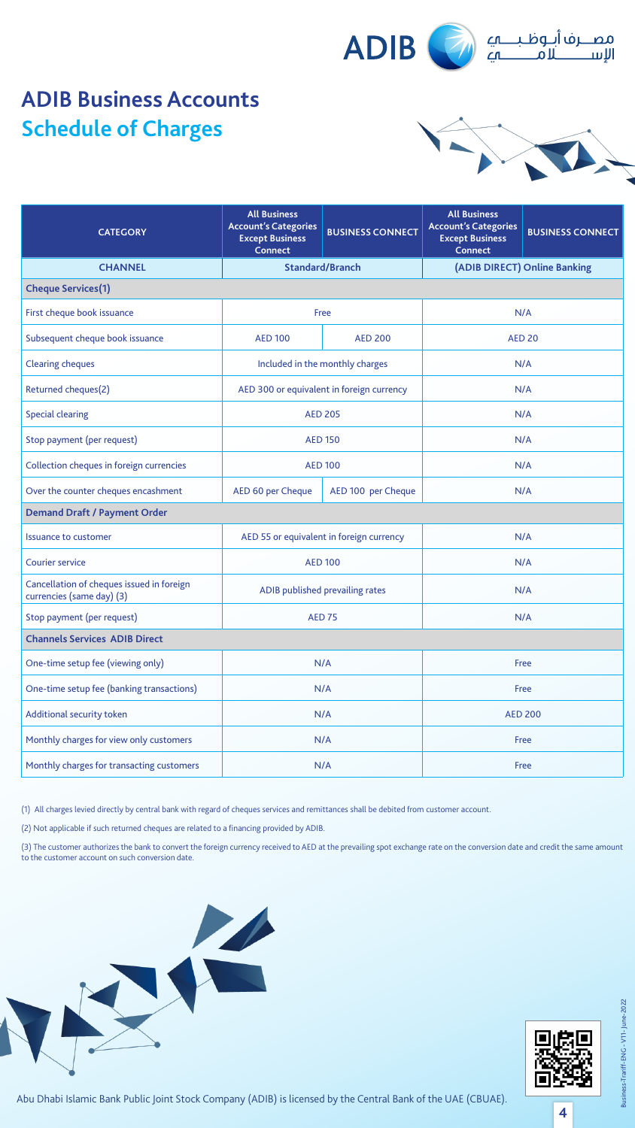



**4**

#### Abu Dhabi Islamic Bank Public Joint Stock Company (ADIB) is licensed by the Central Bank of the UAE (CBUAE).

| <b>CATEGORY</b>                                                        | <b>All Business</b><br><b>Account's Categories</b><br><b>Except Business</b><br><b>Connect</b> | <b>BUSINESS CONNECT</b>                   | <b>All Business</b><br><b>Account's Categories</b><br><b>Except Business</b><br><b>Connect</b> | <b>BUSINESS CONNECT</b>      |
|------------------------------------------------------------------------|------------------------------------------------------------------------------------------------|-------------------------------------------|------------------------------------------------------------------------------------------------|------------------------------|
| <b>CHANNEL</b>                                                         |                                                                                                | <b>Standard/Branch</b>                    |                                                                                                | (ADIB DIRECT) Online Banking |
| <b>Cheque Services(1)</b>                                              |                                                                                                |                                           |                                                                                                |                              |
| First cheque book issuance                                             |                                                                                                | Free                                      | N/A                                                                                            |                              |
| Subsequent cheque book issuance                                        | <b>AED 100</b>                                                                                 | <b>AED 200</b>                            |                                                                                                | <b>AED 20</b>                |
| <b>Clearing cheques</b>                                                |                                                                                                | Included in the monthly charges           |                                                                                                | N/A                          |
| Returned cheques(2)                                                    |                                                                                                | AED 300 or equivalent in foreign currency |                                                                                                | N/A                          |
| <b>Special clearing</b>                                                |                                                                                                | <b>AED 205</b>                            |                                                                                                | N/A                          |
| Stop payment (per request)                                             |                                                                                                | <b>AED 150</b>                            | N/A                                                                                            |                              |
| Collection cheques in foreign currencies                               |                                                                                                | <b>AED 100</b>                            | N/A                                                                                            |                              |
| Over the counter cheques encashment                                    | AED 60 per Cheque<br>AED 100 per Cheque                                                        |                                           | N/A                                                                                            |                              |
| <b>Demand Draft / Payment Order</b>                                    |                                                                                                |                                           |                                                                                                |                              |
| <b>Issuance to customer</b>                                            |                                                                                                | AED 55 or equivalent in foreign currency  |                                                                                                | N/A                          |
| <b>Courier service</b>                                                 | <b>AED 100</b>                                                                                 |                                           |                                                                                                | N/A                          |
| Cancellation of cheques issued in foreign<br>currencies (same day) (3) | ADIB published prevailing rates                                                                |                                           |                                                                                                | N/A                          |
| Stop payment (per request)                                             |                                                                                                | <b>AED 75</b>                             |                                                                                                | N/A                          |
| <b>Channels Services ADIB Direct</b>                                   |                                                                                                |                                           |                                                                                                |                              |
| One-time setup fee (viewing only)                                      | N/A                                                                                            |                                           |                                                                                                | Free                         |
| One-time setup fee (banking transactions)                              | N/A                                                                                            |                                           |                                                                                                | Free                         |
| <b>Additional security token</b>                                       | N/A                                                                                            |                                           |                                                                                                | <b>AED 200</b>               |
| Monthly charges for view only customers                                | N/A                                                                                            |                                           |                                                                                                | Free                         |
| Monthly charges for transacting customers                              |                                                                                                | N/A                                       |                                                                                                | Free                         |

(1) All charges levied directly by central bank with regard of cheques services and remittances shall be debited from customer account.

(2) Not applicable if such returned cheques are related to a financing provided by ADIB.

(3) The customer authorizes the bank to convert the foreign currency received to AED at the prevailing spot exchange rate on the conversion date and credit the same amount to the customer account on such conversion date.



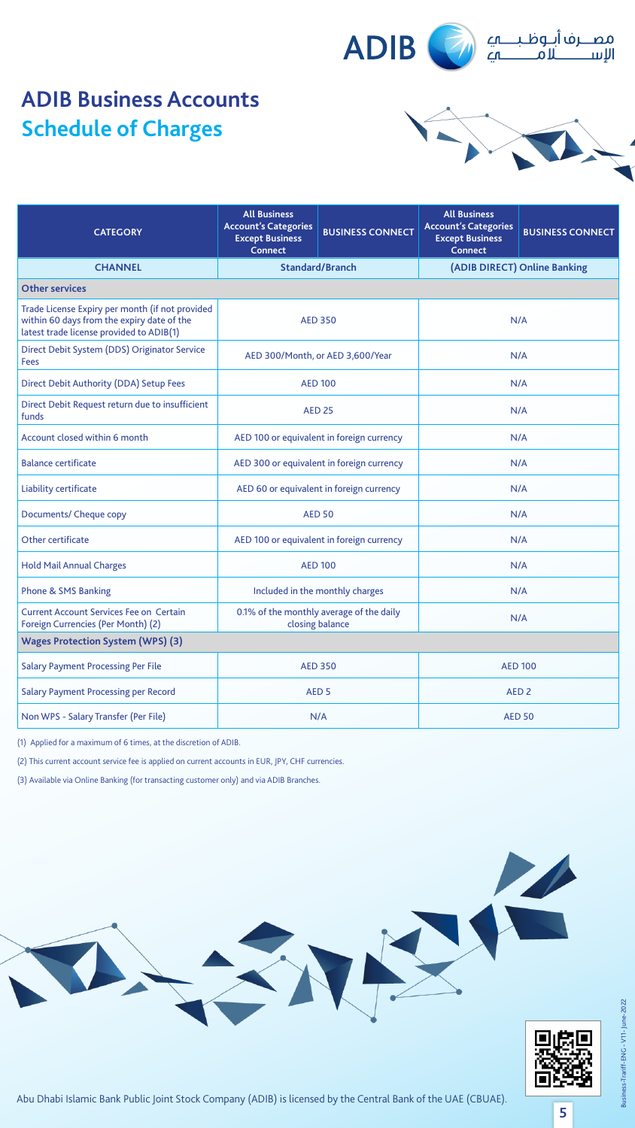

|  | $\sqrt{\frac{1}{2}}$ |
|--|----------------------|
|  |                      |





**5**

#### Abu Dhabi Islamic Bank Public Joint Stock Company (ADIB) is licensed by the Central Bank of the UAE (CBUAE).

| <b>CATEGORY</b>                                                                                                                           | <b>All Business</b><br><b>Account's Categories</b><br><b>Except Business</b><br><b>Connect</b> | <b>BUSINESS CONNECT</b>                                     | <b>All Business</b><br><b>Account's Categories</b><br><b>Except Business</b><br><b>Connect</b> | <b>BUSINESS CONNECT</b>      |  |                |
|-------------------------------------------------------------------------------------------------------------------------------------------|------------------------------------------------------------------------------------------------|-------------------------------------------------------------|------------------------------------------------------------------------------------------------|------------------------------|--|----------------|
| <b>CHANNEL</b>                                                                                                                            |                                                                                                | <b>Standard/Branch</b>                                      |                                                                                                | (ADIB DIRECT) Online Banking |  |                |
| <b>Other services</b>                                                                                                                     |                                                                                                |                                                             |                                                                                                |                              |  |                |
| Trade License Expiry per month (if not provided<br>within 60 days from the expiry date of the<br>latest trade license provided to ADIB(1) | <b>AED 350</b>                                                                                 |                                                             | N/A                                                                                            |                              |  |                |
| Direct Debit System (DDS) Originator Service<br><b>Fees</b>                                                                               |                                                                                                | AED 300/Month, or AED 3,600/Year                            | N/A                                                                                            |                              |  |                |
| Direct Debit Authority (DDA) Setup Fees                                                                                                   |                                                                                                | <b>AED 100</b>                                              |                                                                                                | N/A                          |  |                |
| Direct Debit Request return due to insufficient<br>funds                                                                                  |                                                                                                | <b>AED 25</b>                                               | N/A                                                                                            |                              |  |                |
| Account closed within 6 month                                                                                                             |                                                                                                | AED 100 or equivalent in foreign currency                   | N/A                                                                                            |                              |  |                |
| <b>Balance certificate</b>                                                                                                                | AED 300 or equivalent in foreign currency                                                      |                                                             |                                                                                                | N/A                          |  |                |
| Liability certificate                                                                                                                     | AED 60 or equivalent in foreign currency                                                       |                                                             | N/A                                                                                            |                              |  |                |
| Documents/ Cheque copy                                                                                                                    | <b>AED 50</b>                                                                                  |                                                             |                                                                                                | N/A                          |  |                |
| Other certificate                                                                                                                         | AED 100 or equivalent in foreign currency                                                      |                                                             |                                                                                                | N/A                          |  |                |
| <b>Hold Mail Annual Charges</b>                                                                                                           | <b>AED 100</b>                                                                                 |                                                             |                                                                                                | N/A                          |  |                |
| <b>Phone &amp; SMS Banking</b>                                                                                                            |                                                                                                | Included in the monthly charges                             |                                                                                                | N/A                          |  |                |
| <b>Current Account Services Fee on Certain</b><br>Foreign Currencies (Per Month) (2)                                                      |                                                                                                | 0.1% of the monthly average of the daily<br>closing balance |                                                                                                | N/A                          |  |                |
| <b>Wages Protection System (WPS) (3)</b>                                                                                                  |                                                                                                |                                                             |                                                                                                |                              |  |                |
| <b>Salary Payment Processing Per File</b>                                                                                                 | <b>AED 350</b>                                                                                 |                                                             |                                                                                                |                              |  | <b>AED 100</b> |
| <b>Salary Payment Processing per Record</b>                                                                                               | AED <sub>5</sub>                                                                               |                                                             |                                                                                                | AED <sub>2</sub>             |  |                |
| Non WPS - Salary Transfer (Per File)                                                                                                      |                                                                                                | N/A                                                         |                                                                                                | <b>AED 50</b>                |  |                |

 $(1)$  Applied for a maximum of 6 times, at the discretion of ADIB.

(2) This current account service fee is applied on current accounts in EUR, JPY, CHF currencies.

(3) Available via Online Banking (for transacting customer only) and via ADIB Branches.

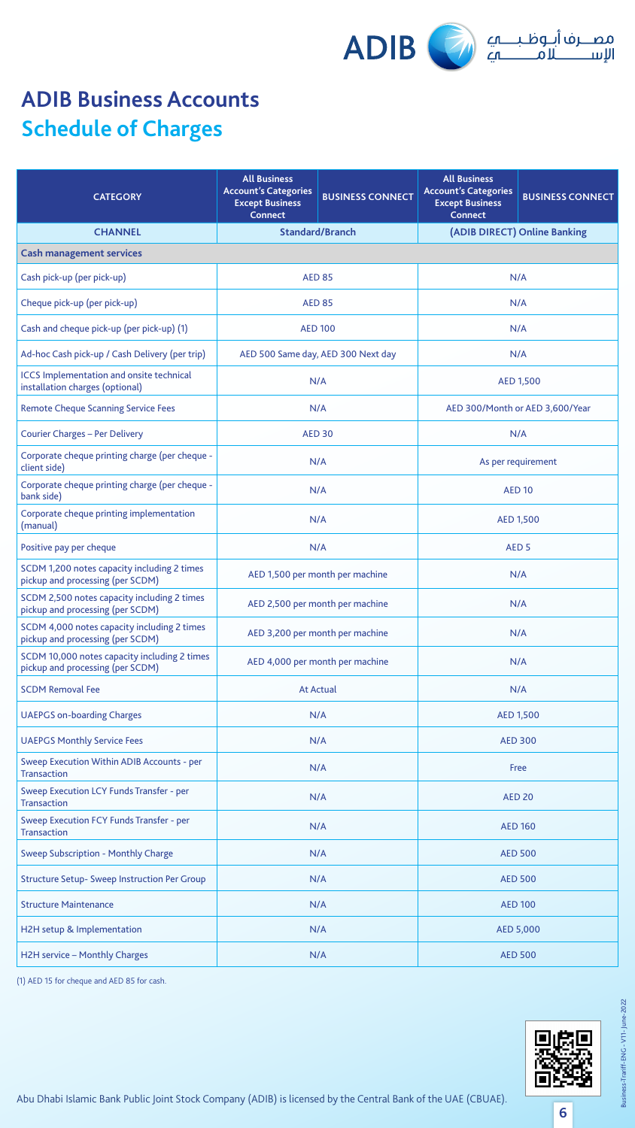

**6**

### Abu Dhabi Islamic Bank Public Joint Stock Company (ADIB) is licensed by the Central Bank of the UAE (CBUAE).

| <b>CATEGORY</b>                                                                    | <b>All Business</b><br><b>Account's Categories</b><br><b>Except Business</b><br><b>Connect</b> | <b>BUSINESS CONNECT</b>            | <b>All Business</b><br><b>Account's Categories</b><br><b>Except Business</b><br><b>Connect</b> | <b>BUSINESS CONNECT</b>         |
|------------------------------------------------------------------------------------|------------------------------------------------------------------------------------------------|------------------------------------|------------------------------------------------------------------------------------------------|---------------------------------|
| <b>CHANNEL</b>                                                                     |                                                                                                | <b>Standard/Branch</b>             |                                                                                                | (ADIB DIRECT) Online Banking    |
| <b>Cash management services</b>                                                    |                                                                                                |                                    |                                                                                                |                                 |
| Cash pick-up (per pick-up)                                                         |                                                                                                | <b>AED 85</b>                      | N/A                                                                                            |                                 |
| Cheque pick-up (per pick-up)                                                       |                                                                                                | <b>AED 85</b>                      | N/A                                                                                            |                                 |
| Cash and cheque pick-up (per pick-up) (1)                                          |                                                                                                | <b>AED 100</b>                     |                                                                                                | N/A                             |
| Ad-hoc Cash pick-up / Cash Delivery (per trip)                                     |                                                                                                | AED 500 Same day, AED 300 Next day |                                                                                                | N/A                             |
| <b>ICCS Implementation and onsite technical</b><br>installation charges (optional) |                                                                                                | N/A                                |                                                                                                | <b>AED 1,500</b>                |
| <b>Remote Cheque Scanning Service Fees</b>                                         |                                                                                                | N/A                                |                                                                                                | AED 300/Month or AED 3,600/Year |
| <b>Courier Charges - Per Delivery</b>                                              |                                                                                                | <b>AED 30</b>                      |                                                                                                | N/A                             |
| Corporate cheque printing charge (per cheque -<br>client side)                     |                                                                                                | N/A                                |                                                                                                | As per requirement              |
| Corporate cheque printing charge (per cheque -<br>bank side)                       |                                                                                                | N/A                                | <b>AED 10</b>                                                                                  |                                 |
| Corporate cheque printing implementation<br>(manual)                               |                                                                                                | N/A                                | <b>AED 1,500</b>                                                                               |                                 |
| Positive pay per cheque                                                            |                                                                                                | N/A                                | AED <sub>5</sub>                                                                               |                                 |
| SCDM 1,200 notes capacity including 2 times<br>pickup and processing (per SCDM)    | AED 1,500 per month per machine                                                                |                                    | N/A                                                                                            |                                 |
| SCDM 2,500 notes capacity including 2 times<br>pickup and processing (per SCDM)    | AED 2,500 per month per machine                                                                |                                    |                                                                                                | N/A                             |
| SCDM 4,000 notes capacity including 2 times<br>pickup and processing (per SCDM)    | AED 3,200 per month per machine                                                                |                                    |                                                                                                | N/A                             |
| SCDM 10,000 notes capacity including 2 times<br>pickup and processing (per SCDM)   | AED 4,000 per month per machine                                                                |                                    |                                                                                                | N/A                             |
| <b>SCDM Removal Fee</b>                                                            | <b>At Actual</b>                                                                               |                                    |                                                                                                | N/A                             |
| <b>UAEPGS on-boarding Charges</b>                                                  |                                                                                                | N/A                                |                                                                                                | <b>AED 1,500</b>                |
| <b>UAEPGS Monthly Service Fees</b>                                                 |                                                                                                | N/A                                |                                                                                                | <b>AED 300</b>                  |
| <b>Sweep Execution Within ADIB Accounts - per</b><br><b>Transaction</b>            |                                                                                                | N/A                                |                                                                                                | Free                            |
| <b>Sweep Execution LCY Funds Transfer - per</b><br><b>Transaction</b>              |                                                                                                | N/A                                |                                                                                                | <b>AED 20</b>                   |
| <b>Sweep Execution FCY Funds Transfer - per</b><br><b>Transaction</b>              | N/A                                                                                            |                                    |                                                                                                | <b>AED 160</b>                  |
| <b>Sweep Subscription - Monthly Charge</b>                                         |                                                                                                | N/A                                |                                                                                                | <b>AED 500</b>                  |
| <b>Structure Setup- Sweep Instruction Per Group</b>                                | N/A                                                                                            |                                    |                                                                                                | <b>AED 500</b>                  |
| <b>Structure Maintenance</b>                                                       | N/A                                                                                            |                                    |                                                                                                | <b>AED 100</b>                  |
| H2H setup & Implementation                                                         |                                                                                                | N/A                                |                                                                                                | <b>AED 5,000</b>                |
| <b>H2H service - Monthly Charges</b>                                               |                                                                                                | N/A                                |                                                                                                | <b>AED 500</b>                  |

(1) AED 15 for cheque and AED 85 for cash.